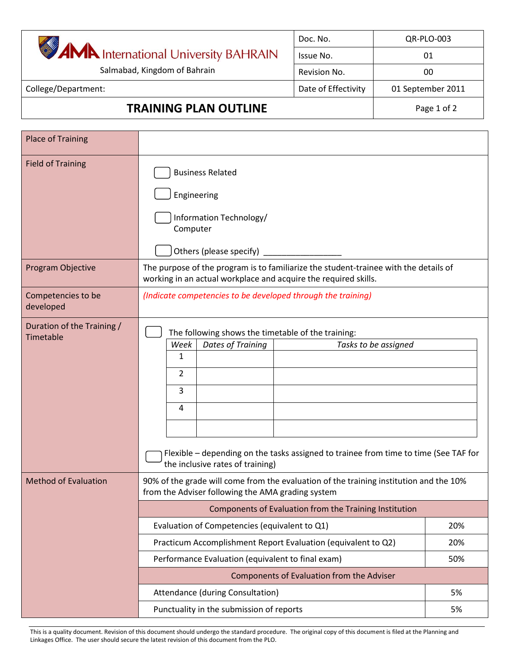|                                               |                                                                                                                                                                                                                                        | Doc. No.            | QR-PLO-003           |  |
|-----------------------------------------------|----------------------------------------------------------------------------------------------------------------------------------------------------------------------------------------------------------------------------------------|---------------------|----------------------|--|
| <b>AMA</b> International University BAHRAIN   |                                                                                                                                                                                                                                        | Issue No.           | 01                   |  |
| Salmabad, Kingdom of Bahrain                  |                                                                                                                                                                                                                                        | Revision No.        | 00                   |  |
| College/Department:                           |                                                                                                                                                                                                                                        | Date of Effectivity | 01 September 2011    |  |
| <b>TRAINING PLAN OUTLINE</b>                  |                                                                                                                                                                                                                                        | Page 1 of 2         |                      |  |
| <b>Place of Training</b>                      |                                                                                                                                                                                                                                        |                     |                      |  |
| <b>Field of Training</b>                      | <b>Business Related</b><br>Engineering<br>Information Technology/<br>Computer<br>Others (please specify) _________                                                                                                                     |                     |                      |  |
| Program Objective                             | The purpose of the program is to familiarize the student-trainee with the details of<br>working in an actual workplace and acquire the required skills.                                                                                |                     |                      |  |
| Competencies to be<br>developed               | (Indicate competencies to be developed through the training)                                                                                                                                                                           |                     |                      |  |
| Duration of the Training /<br>Timetable       | The following shows the timetable of the training:<br><b>Dates of Training</b><br>Week<br>1<br>2<br>3<br>4<br>Flexible – depending on the tasks assigned to trainee from time to time (See TAF for<br>the inclusive rates of training) |                     | Tasks to be assigned |  |
| <b>Method of Evaluation</b>                   | 90% of the grade will come from the evaluation of the training institution and the 10%<br>from the Adviser following the AMA grading system<br>Components of Evaluation from the Training Institution                                  |                     |                      |  |
|                                               |                                                                                                                                                                                                                                        |                     |                      |  |
| Evaluation of Competencies (equivalent to Q1) |                                                                                                                                                                                                                                        |                     | 20%                  |  |
|                                               | Practicum Accomplishment Report Evaluation (equivalent to Q2)<br>20%                                                                                                                                                                   |                     |                      |  |
|                                               | Performance Evaluation (equivalent to final exam)<br>50%                                                                                                                                                                               |                     |                      |  |
|                                               | Components of Evaluation from the Adviser                                                                                                                                                                                              |                     |                      |  |
|                                               | Attendance (during Consultation)<br>5%                                                                                                                                                                                                 |                     |                      |  |
| Punctuality in the submission of reports      |                                                                                                                                                                                                                                        |                     |                      |  |

This is a quality document. Revision of this document should undergo the standard procedure. The original copy of this document is filed at the Planning and Linkages Office. The user should secure the latest revision of this document from the PLO.